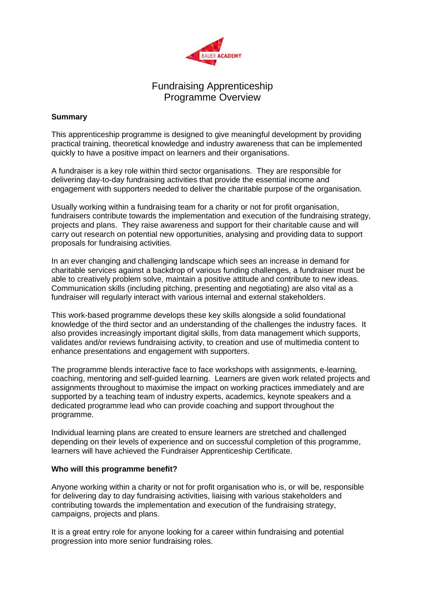

### Fundraising Apprenticeship Programme Overview

### **Summary**

This apprenticeship programme is designed to give meaningful development by providing practical training, theoretical knowledge and industry awareness that can be implemented quickly to have a positive impact on learners and their organisations.

A fundraiser is a key role within third sector organisations. They are responsible for delivering day-to-day fundraising activities that provide the essential income and engagement with supporters needed to deliver the charitable purpose of the organisation.

Usually working within a fundraising team for a charity or not for profit organisation, fundraisers contribute towards the implementation and execution of the fundraising strategy, projects and plans. They raise awareness and support for their charitable cause and will carry out research on potential new opportunities, analysing and providing data to support proposals for fundraising activities.

In an ever changing and challenging landscape which sees an increase in demand for charitable services against a backdrop of various funding challenges, a fundraiser must be able to creatively problem solve, maintain a positive attitude and contribute to new ideas. Communication skills (including pitching, presenting and negotiating) are also vital as a fundraiser will regularly interact with various internal and external stakeholders.

This work-based programme develops these key skills alongside a solid foundational knowledge of the third sector and an understanding of the challenges the industry faces. It also provides increasingly important digital skills, from data management which supports, validates and/or reviews fundraising activity, to creation and use of multimedia content to enhance presentations and engagement with supporters.

The programme blends interactive face to face workshops with assignments, e-learning, coaching, mentoring and self-guided learning. Learners are given work related projects and assignments throughout to maximise the impact on working practices immediately and are supported by a teaching team of industry experts, academics, keynote speakers and a dedicated programme lead who can provide coaching and support throughout the programme.

Individual learning plans are created to ensure learners are stretched and challenged depending on their levels of experience and on successful completion of this programme, learners will have achieved the Fundraiser Apprenticeship Certificate.

### **Who will this programme benefit?**

Anyone working within a charity or not for profit organisation who is, or will be, responsible for delivering day to day fundraising activities, liaising with various stakeholders and contributing towards the implementation and execution of the fundraising strategy, campaigns, projects and plans.

It is a great entry role for anyone looking for a career within fundraising and potential progression into more senior fundraising roles.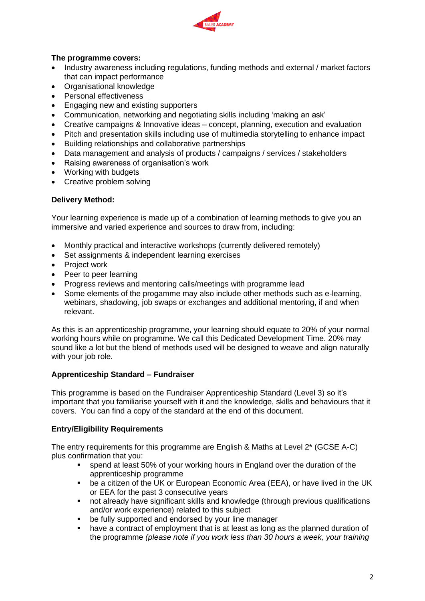

### **The programme covers:**

- Industry awareness including regulations, funding methods and external / market factors that can impact performance
- Organisational knowledge
- Personal effectiveness
- Engaging new and existing supporters
- Communication, networking and negotiating skills including 'making an ask'
- Creative campaigns & Innovative ideas concept, planning, execution and evaluation
- Pitch and presentation skills including use of multimedia storytelling to enhance impact
- Building relationships and collaborative partnerships
- Data management and analysis of products / campaigns / services / stakeholders
- Raising awareness of organisation's work
- Working with budgets
- Creative problem solving

### **Delivery Method:**

Your learning experience is made up of a combination of learning methods to give you an immersive and varied experience and sources to draw from, including:

- Monthly practical and interactive workshops (currently delivered remotely)
- Set assignments & independent learning exercises
- Project work
- Peer to peer learning
- Progress reviews and mentoring calls/meetings with programme lead
- Some elements of the progamme may also include other methods such as e-learning, webinars, shadowing, job swaps or exchanges and additional mentoring, if and when relevant.

As this is an apprenticeship programme, your learning should equate to 20% of your normal working hours while on programme. We call this Dedicated Development Time. 20% may sound like a lot but the blend of methods used will be designed to weave and align naturally with your job role.

### **Apprenticeship Standard – Fundraiser**

This programme is based on the Fundraiser Apprenticeship Standard (Level 3) so it's important that you familiarise yourself with it and the knowledge, skills and behaviours that it covers. You can find a copy of the standard at the end of this document.

### **Entry/Eligibility Requirements**

The entry requirements for this programme are English & Maths at Level 2\* (GCSE A-C) plus confirmation that you:

- spend at least 50% of your working hours in England over the duration of the apprenticeship programme
- be a citizen of the UK or European Economic Area (EEA), or have lived in the UK or EEA for the past 3 consecutive years
- not already have significant skills and knowledge (through previous qualifications and/or work experience) related to this subject
- be fully supported and endorsed by your line manager
- have a contract of employment that is at least as long as the planned duration of the programme *(please note if you work less than 30 hours a week, your training*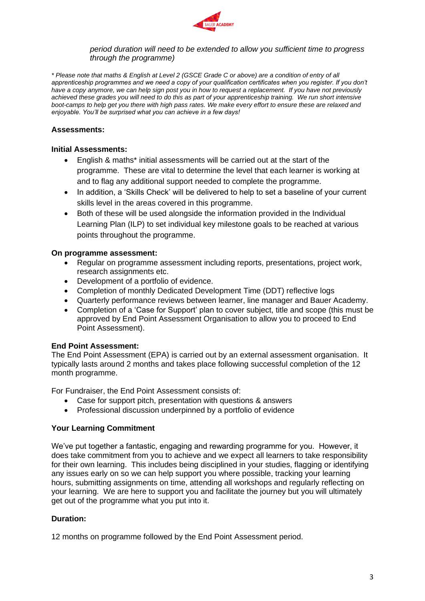

#### *period duration will need to be extended to allow you sufficient time to progress through the programme)*

*\* Please note that maths & English at Level 2 (GSCE Grade C or above) are a condition of entry of all*  apprenticeship programmes and we need a copy of your qualification certificates when you register. If you don't *have a copy anymore, we can help sign post you in how to request a replacement. If you have not previously achieved these grades you will need to do this as part of your apprenticeship training. We run short intensive boot-camps to help get you there with high pass rates. We make every effort to ensure these are relaxed and enjoyable. You'll be surprised what you can achieve in a few days!* 

### **Assessments:**

#### **Initial Assessments:**

- English & maths\* initial assessments will be carried out at the start of the programme. These are vital to determine the level that each learner is working at and to flag any additional support needed to complete the programme.
- In addition, a 'Skills Check' will be delivered to help to set a baseline of your current skills level in the areas covered in this programme.
- Both of these will be used alongside the information provided in the Individual Learning Plan (ILP) to set individual key milestone goals to be reached at various points throughout the programme.

### **On programme assessment:**

- Regular on programme assessment including reports, presentations, project work, research assignments etc.
- Development of a portfolio of evidence.
- Completion of monthly Dedicated Development Time (DDT) reflective logs
- Quarterly performance reviews between learner, line manager and Bauer Academy.
- Completion of a 'Case for Support' plan to cover subject, title and scope (this must be approved by End Point Assessment Organisation to allow you to proceed to End Point Assessment).

### **End Point Assessment:**

The End Point Assessment (EPA) is carried out by an external assessment organisation. It typically lasts around 2 months and takes place following successful completion of the 12 month programme.

For Fundraiser, the End Point Assessment consists of:

- Case for support pitch, presentation with questions & answers
- Professional discussion underpinned by a portfolio of evidence

### **Your Learning Commitment**

We've put together a fantastic, engaging and rewarding programme for you. However, it does take commitment from you to achieve and we expect all learners to take responsibility for their own learning. This includes being disciplined in your studies, flagging or identifying any issues early on so we can help support you where possible, tracking your learning hours, submitting assignments on time, attending all workshops and regularly reflecting on your learning. We are here to support you and facilitate the journey but you will ultimately get out of the programme what you put into it.

### **Duration:**

12 months on programme followed by the End Point Assessment period.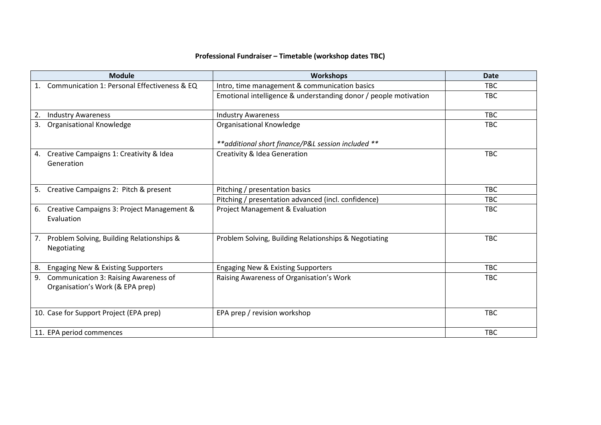# **Professional Fundraiser – Timetable (workshop dates TBC)**

| <b>Module</b>                                                                          | <b>Workshops</b>                                                 | <b>Date</b> |
|----------------------------------------------------------------------------------------|------------------------------------------------------------------|-------------|
| 1. Communication 1: Personal Effectiveness & EQ                                        | Intro, time management & communication basics                    | <b>TBC</b>  |
|                                                                                        | Emotional intelligence & understanding donor / people motivation | <b>TBC</b>  |
| <b>Industry Awareness</b><br>2.                                                        | <b>Industry Awareness</b>                                        | <b>TBC</b>  |
| <b>Organisational Knowledge</b><br>3.                                                  | Organisational Knowledge                                         | <b>TBC</b>  |
|                                                                                        | ** additional short finance/P&L session included **              |             |
| Creative Campaigns 1: Creativity & Idea<br>4.<br>Generation                            | Creativity & Idea Generation                                     | <b>TBC</b>  |
| Creative Campaigns 2: Pitch & present<br>5.                                            | Pitching / presentation basics                                   | <b>TBC</b>  |
|                                                                                        | Pitching / presentation advanced (incl. confidence)              | <b>TBC</b>  |
| Creative Campaigns 3: Project Management &<br>6.<br>Evaluation                         | <b>Project Management &amp; Evaluation</b>                       | <b>TBC</b>  |
| Problem Solving, Building Relationships &<br>7.<br>Negotiating                         | Problem Solving, Building Relationships & Negotiating            | <b>TBC</b>  |
| Engaging New & Existing Supporters<br>8.                                               | Engaging New & Existing Supporters                               | <b>TBC</b>  |
| <b>Communication 3: Raising Awareness of</b><br>9.<br>Organisation's Work (& EPA prep) | Raising Awareness of Organisation's Work                         | <b>TBC</b>  |
| 10. Case for Support Project (EPA prep)                                                | EPA prep / revision workshop                                     | <b>TBC</b>  |
| 11. EPA period commences                                                               |                                                                  | <b>TBC</b>  |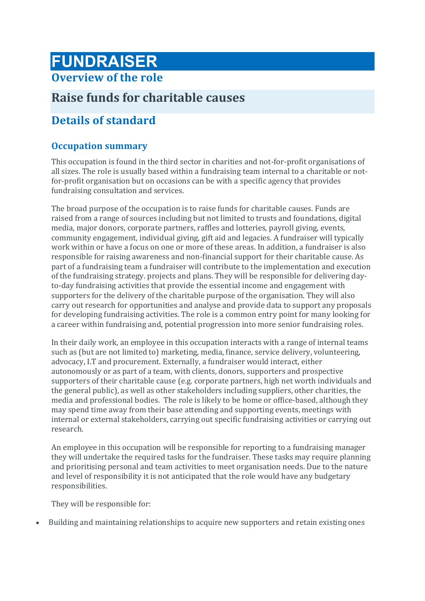# **FUNDRAISER**

# **Overview of the role**

# **Raise funds for charitable causes**

# **Details of standard**

# **Occupation summary**

This occupation is found in the third sector in charities and not-for-profit organisations of all sizes. The role is usually based within a fundraising team internal to a charitable or notfor-profit organisation but on occasions can be with a specific agency that provides fundraising consultation and services.

The broad purpose of the occupation is to raise funds for charitable causes. Funds are raised from a range of sources including but not limited to trusts and foundations, digital media, major donors, corporate partners, raffles and lotteries, payroll giving, events, community engagement, individual giving, gift aid and legacies. A fundraiser will typically work within or have a focus on one or more of these areas. In addition, a fundraiser is also responsible for raising awareness and non-financial support for their charitable cause. As part of a fundraising team a fundraiser will contribute to the implementation and execution of the fundraising strategy. projects and plans. They will be responsible for delivering dayto-day fundraising activities that provide the essential income and engagement with supporters for the delivery of the charitable purpose of the organisation. They will also carry out research for opportunities and analyse and provide data to support any proposals for developing fundraising activities. The role is a common entry point for many looking for a career within fundraising and, potential progression into more senior fundraising roles.

In their daily work, an employee in this occupation interacts with a range of internal teams such as (but are not limited to) marketing, media, finance, service delivery, volunteering, advocacy, I.T and procurement. Externally, a fundraiser would interact, either autonomously or as part of a team, with clients, donors, supporters and prospective supporters of their charitable cause (e.g. corporate partners, high net worth individuals and the general public), as well as other stakeholders including suppliers, other charities, the media and professional bodies. The role is likely to be home or office-based, although they may spend time away from their base attending and supporting events, meetings with internal or external stakeholders, carrying out specific fundraising activities or carrying out research.

An employee in this occupation will be responsible for reporting to a fundraising manager they will undertake the required tasks for the fundraiser. These tasks may require planning and prioritising personal and team activities to meet organisation needs. Due to the nature and level of responsibility it is not anticipated that the role would have any budgetary responsibilities.

They will be responsible for:

• Building and maintaining relationships to acquire new supporters and retain existing ones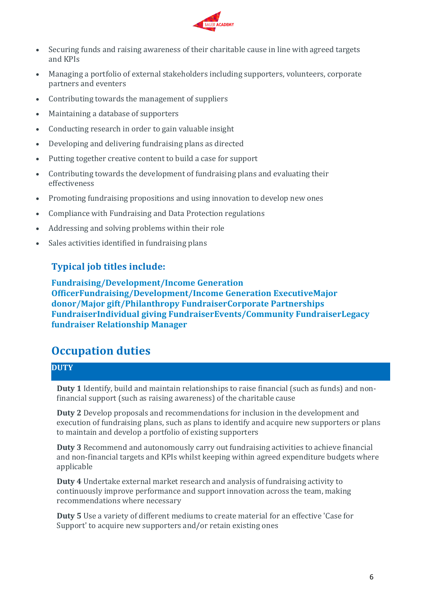

- Securing funds and raising awareness of their charitable cause in line with agreed targets and KPIs
- Managing a portfolio of external stakeholders including supporters, volunteers, corporate partners and eventers
- Contributing towards the management of suppliers
- Maintaining a database of supporters
- Conducting research in order to gain valuable insight
- Developing and delivering fundraising plans as directed
- Putting together creative content to build a case for support
- Contributing towards the development of fundraising plans and evaluating their effectiveness
- Promoting fundraising propositions and using innovation to develop new ones
- Compliance with Fundraising and Data Protection regulations
- Addressing and solving problems within their role
- Sales activities identified in fundraising plans

### **Typical job titles include:**

**Fundraising/Development/Income Generation OfficerFundraising/Development/Income Generation ExecutiveMajor donor/Major gift/Philanthropy FundraiserCorporate Partnerships FundraiserIndividual giving FundraiserEvents/Community FundraiserLegacy fundraiser Relationship Manager**

# **Occupation duties**

### **DUTY**

**Duty 1** Identify, build and maintain relationships to raise financial (such as funds) and nonfinancial support (such as raising awareness) of the charitable cause

**Duty 2** Develop proposals and recommendations for inclusion in the development and execution of fundraising plans, such as plans to identify and acquire new supporters or plans to maintain and develop a portfolio of existing supporters

**Duty 3** Recommend and autonomously carry out fundraising activities to achieve financial and non-financial targets and KPIs whilst keeping within agreed expenditure budgets where applicable

**Duty 4** Undertake external market research and analysis of fundraising activity to continuously improve performance and support innovation across the team, making recommendations where necessary

**Duty 5** Use a variety of different mediums to create material for an effective 'Case for Support' to acquire new supporters and/or retain existing ones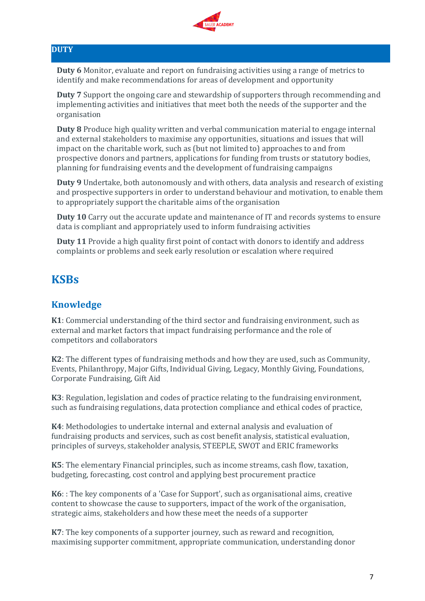

### **DUTY**

**Duty 6** Monitor, evaluate and report on fundraising activities using a range of metrics to identify and make recommendations for areas of development and opportunity

**Duty 7** Support the ongoing care and stewardship of supporters through recommending and implementing activities and initiatives that meet both the needs of the supporter and the organisation

**Duty 8** Produce high quality written and verbal communication material to engage internal and external stakeholders to maximise any opportunities, situations and issues that will impact on the charitable work, such as (but not limited to) approaches to and from prospective donors and partners, applications for funding from trusts or statutory bodies, planning for fundraising events and the development of fundraising campaigns

**Duty 9** Undertake, both autonomously and with others, data analysis and research of existing and prospective supporters in order to understand behaviour and motivation, to enable them to appropriately support the charitable aims of the organisation

**Duty 10** Carry out the accurate update and maintenance of IT and records systems to ensure data is compliant and appropriately used to inform fundraising activities

**Duty 11** Provide a high quality first point of contact with donors to identify and address complaints or problems and seek early resolution or escalation where required

# **KSBs**

### **Knowledge**

**K1**: Commercial understanding of the third sector and fundraising environment, such as external and market factors that impact fundraising performance and the role of competitors and collaborators

**K2**: The different types of fundraising methods and how they are used, such as Community, Events, Philanthropy, Major Gifts, Individual Giving, Legacy, Monthly Giving, Foundations, Corporate Fundraising, Gift Aid

**K3**: Regulation, legislation and codes of practice relating to the fundraising environment, such as fundraising regulations, data protection compliance and ethical codes of practice,

**K4**: Methodologies to undertake internal and external analysis and evaluation of fundraising products and services, such as cost benefit analysis, statistical evaluation, principles of surveys, stakeholder analysis, STEEPLE, SWOT and ERIC frameworks

**K5**: The elementary Financial principles, such as income streams, cash flow, taxation, budgeting, forecasting, cost control and applying best procurement practice

**K6**: : The key components of a 'Case for Support', such as organisational aims, creative content to showcase the cause to supporters, impact of the work of the organisation, strategic aims, stakeholders and how these meet the needs of a supporter

**K7**: The key components of a supporter journey, such as reward and recognition, maximising supporter commitment, appropriate communication, understanding donor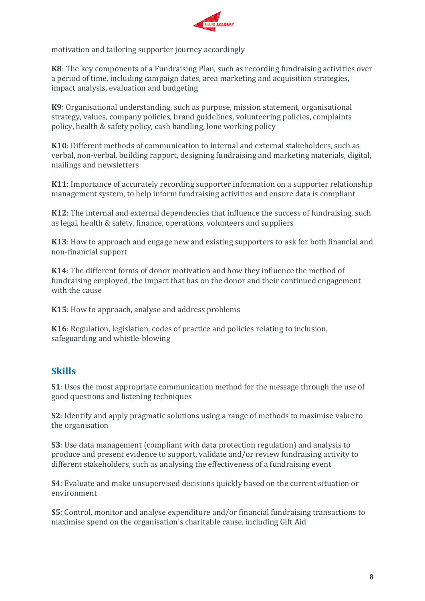

motivation and tailoring supporter journey accordingly

**K8**: The key components of a Fundraising Plan, such as recording fundraising activities over a period of time, including campaign dates, area marketing and acquisition strategies, impact analysis, evaluation and budgeting

**K9**: Organisational understanding, such as purpose, mission statement, organisational strategy, values, company policies, brand guidelines, volunteering policies, complaints policy, health & safety policy, cash handling, lone working policy

**K10**: Different methods of communication to internal and external stakeholders, such as verbal, non-verbal, building rapport, designing fundraising and marketing materials, digital, mailings and newsletters

**K11**: Importance of accurately recording supporter information on a supporter relationship management system, to help inform fundraising activities and ensure data is compliant

**K12**: The internal and external dependencies that influence the success of fundraising, such as legal, health & safety, finance, operations, volunteers and suppliers

**K13**: How to approach and engage new and existing supporters to ask for both financial and non-financial support

**K14**: The different forms of donor motivation and how they influence the method of fundraising employed, the impact that has on the donor and their continued engagement with the cause

**K15**: How to approach, analyse and address problems

**K16**: Regulation, legislation, codes of practice and policies relating to inclusion, safeguarding and whistle-blowing

### **Skills**

**S1**: Uses the most appropriate communication method for the message through the use of good questions and listening techniques

**S2**: Identify and apply pragmatic solutions using a range of methods to maximise value to the organisation

**S3**: Use data management (compliant with data protection regulation) and analysis to produce and present evidence to support, validate and/or review fundraising activity to different stakeholders, such as analysing the effectiveness of a fundraising event

**S4**: Evaluate and make unsupervised decisions quickly based on the current situation or environment

**S5**: Control, monitor and analyse expenditure and/or financial fundraising transactions to maximise spend on the organisation's charitable cause, including Gift Aid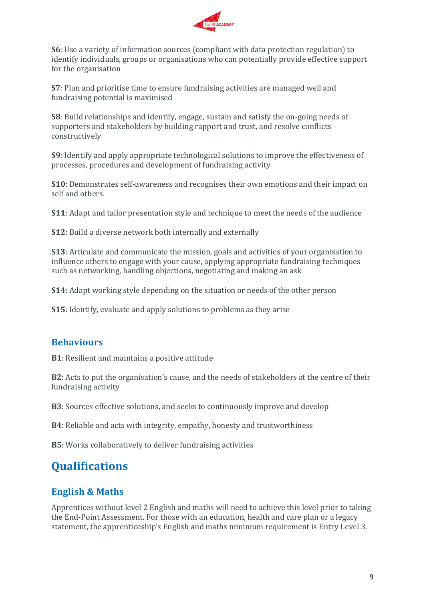

**S6**: Use a variety of information sources (compliant with data protection regulation) to identify individuals, groups or organisations who can potentially provide effective support for the organisation

**S7**: Plan and prioritise time to ensure fundraising activities are managed well and fundraising potential is maximised

**S8**: Build relationships and identify, engage, sustain and satisfy the on-going needs of supporters and stakeholders by building rapport and trust, and resolve conflicts constructively

**S9**: Identify and apply appropriate technological solutions to improve the effectiveness of processes, procedures and development of fundraising activity

**S10**: Demonstrates self-awareness and recognises their own emotions and their impact on self and others.

**S11**: Adapt and tailor presentation style and technique to meet the needs of the audience

**S12**: Build a diverse network both internally and externally

**S13**: Articulate and communicate the mission, goals and activities of your organisation to influence others to engage with your cause, applying appropriate fundraising techniques such as networking, handling objections, negotiating and making an ask

**S14**: Adapt working style depending on the situation or needs of the other person

**S15**: Identify, evaluate and apply solutions to problems as they arise

### **Behaviours**

**B1**: Resilient and maintains a positive attitude

**B2**: Acts to put the organisation's cause, and the needs of stakeholders at the centre of their fundraising activity

**B3**: Sources effective solutions, and seeks to continuously improve and develop

**B4**: Reliable and acts with integrity, empathy, honesty and trustworthiness

**B5**: Works collaboratively to deliver fundraising activities

# **Qualifications**

# **English & Maths**

Apprentices without level 2 English and maths will need to achieve this level prior to taking the End-Point Assessment. For those with an education, health and care plan or a legacy statement, the apprenticeship's English and maths minimum requirement is Entry Level 3.